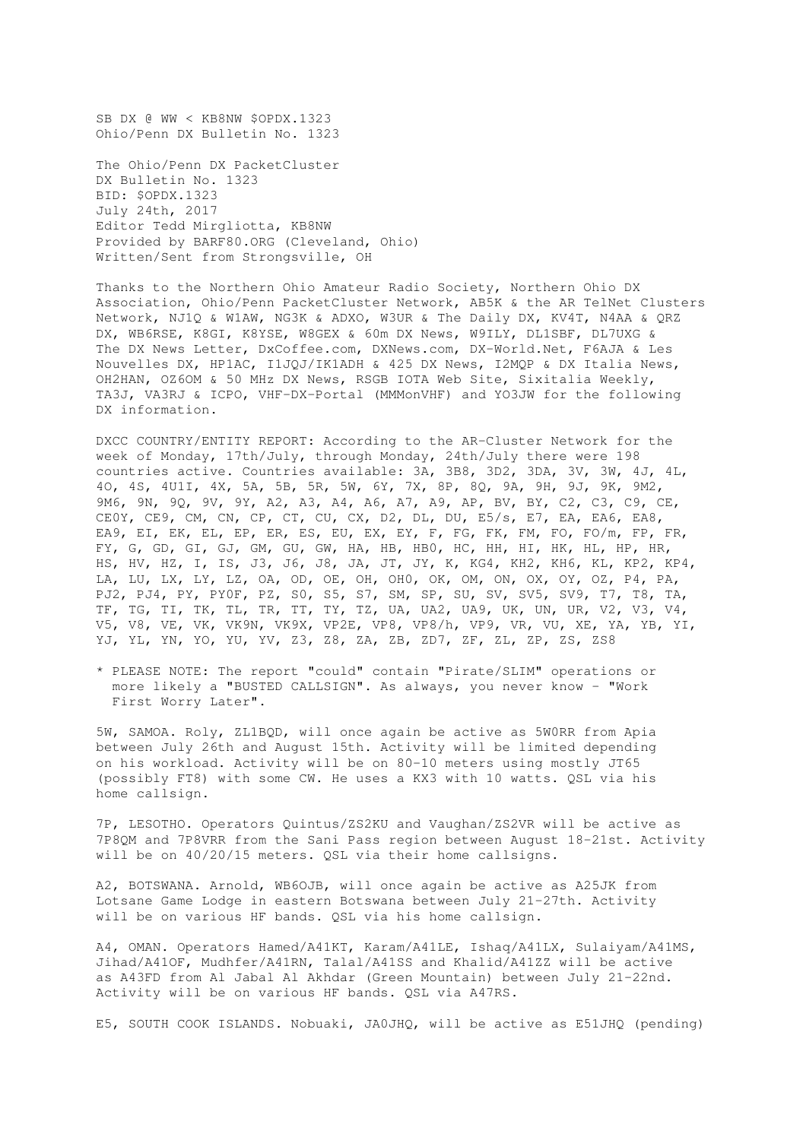SB DX @ WW < KB8NW \$OPDX.1323 Ohio/Penn DX Bulletin No. 1323

The Ohio/Penn DX PacketCluster DX Bulletin No. 1323 BID: \$OPDX.1323 July 24th, 2017 Editor Tedd Mirgliotta, KB8NW Provided by BARF80.ORG (Cleveland, Ohio) Written/Sent from Strongsville, OH

Thanks to the Northern Ohio Amateur Radio Society, Northern Ohio DX Association, Ohio/Penn PacketCluster Network, AB5K & the AR TelNet Clusters Network, NJ1Q & W1AW, NG3K & ADXO, W3UR & The Daily DX, KV4T, N4AA & QRZ DX, WB6RSE, K8GI, K8YSE, W8GEX & 60m DX News, W9ILY, DL1SBF, DL7UXG & The DX News Letter, DxCoffee.com, DXNews.com, DX-World.Net, F6AJA & Les Nouvelles DX, HP1AC, I1JQJ/IK1ADH & 425 DX News, I2MQP & DX Italia News, OH2HAN, OZ6OM & 50 MHz DX News, RSGB IOTA Web Site, Sixitalia Weekly, TA3J, VA3RJ & ICPO, VHF-DX-Portal (MMMonVHF) and YO3JW for the following DX information.

DXCC COUNTRY/ENTITY REPORT: According to the AR-Cluster Network for the week of Monday, 17th/July, through Monday, 24th/July there were 198 countries active. Countries available: 3A, 3B8, 3D2, 3DA, 3V, 3W, 4J, 4L, 4O, 4S, 4U1I, 4X, 5A, 5B, 5R, 5W, 6Y, 7X, 8P, 8Q, 9A, 9H, 9J, 9K, 9M2, 9M6, 9N, 9Q, 9V, 9Y, A2, A3, A4, A6, A7, A9, AP, BV, BY, C2, C3, C9, CE, CE0Y, CE9, CM, CN, CP, CT, CU, CX, D2, DL, DU, E5/s, E7, EA, EA6, EA8, EA9, EI, EK, EL, EP, ER, ES, EU, EX, EY, F, FG, FK, FM, FO, FO/m, FP, FR, FY, G, GD, GI, GJ, GM, GU, GW, HA, HB, HB0, HC, HH, HI, HK, HL, HP, HR, HS, HV, HZ, I, IS, J3, J6, J8, JA, JT, JY, K, KG4, KH2, KH6, KL, KP2, KP4, LA, LU, LX, LY, LZ, OA, OD, OE, OH, OH0, OK, OM, ON, OX, OY, OZ, P4, PA, PJ2, PJ4, PY, PY0F, PZ, S0, S5, S7, SM, SP, SU, SV, SV5, SV9, T7, T8, TA, TF, TG, TI, TK, TL, TR, TT, TY, TZ, UA, UA2, UA9, UK, UN, UR, V2, V3, V4, V5, V8, VE, VK, VK9N, VK9X, VP2E, VP8, VP8/h, VP9, VR, VU, XE, YA, YB, YI, YJ, YL, YN, YO, YU, YV, Z3, Z8, ZA, ZB, ZD7, ZF, ZL, ZP, ZS, ZS8

\* PLEASE NOTE: The report "could" contain "Pirate/SLIM" operations or more likely a "BUSTED CALLSIGN". As always, you never know - "Work First Worry Later".

5W, SAMOA. Roly, ZL1BQD, will once again be active as 5W0RR from Apia between July 26th and August 15th. Activity will be limited depending on his workload. Activity will be on 80-10 meters using mostly JT65 (possibly FT8) with some CW. He uses a KX3 with 10 watts. QSL via his home callsign.

7P, LESOTHO. Operators Quintus/ZS2KU and Vaughan/ZS2VR will be active as 7P8QM and 7P8VRR from the Sani Pass region between August 18-21st. Activity will be on 40/20/15 meters. QSL via their home callsigns.

A2, BOTSWANA. Arnold, WB6OJB, will once again be active as A25JK from Lotsane Game Lodge in eastern Botswana between July 21-27th. Activity will be on various HF bands. QSL via his home callsign.

A4, OMAN. Operators Hamed/A41KT, Karam/A41LE, Ishaq/A41LX, Sulaiyam/A41MS, Jihad/A41OF, Mudhfer/A41RN, Talal/A41SS and Khalid/A41ZZ will be active as A43FD from Al Jabal Al Akhdar (Green Mountain) between July 21-22nd. Activity will be on various HF bands. QSL via A47RS.

E5, SOUTH COOK ISLANDS. Nobuaki, JA0JHQ, will be active as E51JHQ (pending)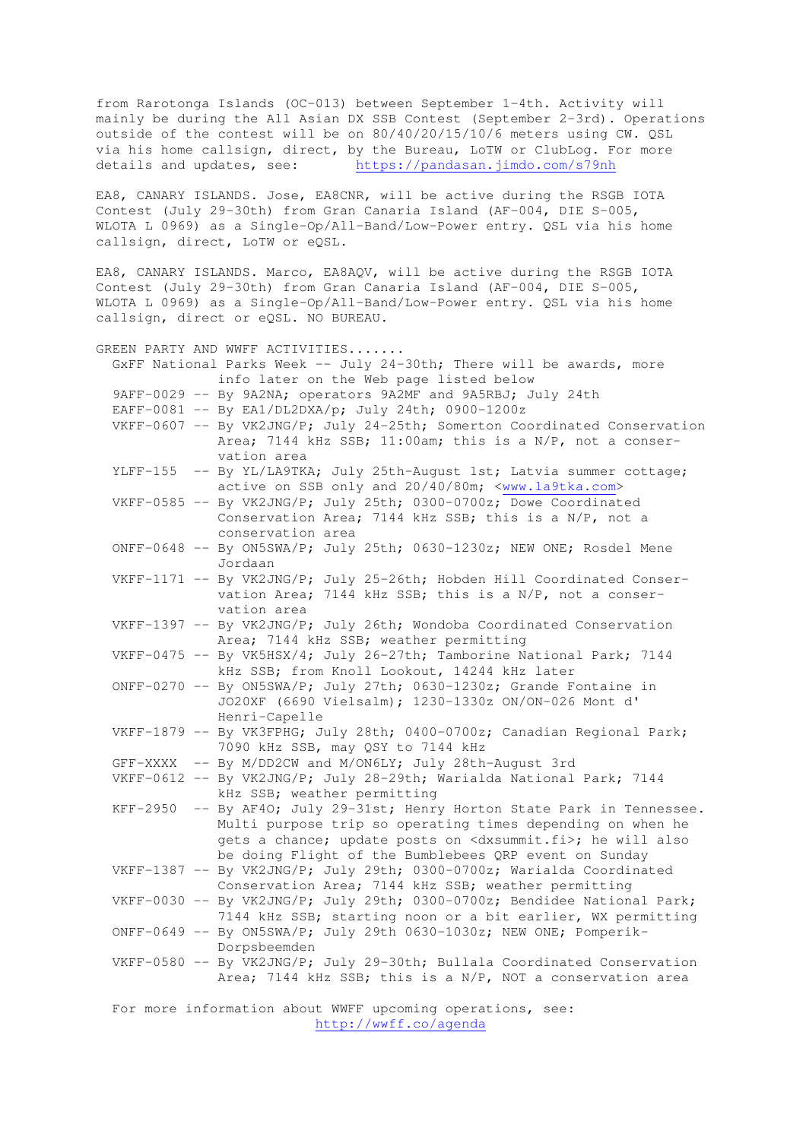from Rarotonga Islands (OC-013) between September 1-4th. Activity will mainly be during the All Asian DX SSB Contest (September 2-3rd). Operations outside of the contest will be on 80/40/20/15/10/6 meters using CW. QSL via his home callsign, direct, by the Bureau, LoTW or ClubLog. For more details and updates, see: https://pandasan.jimdo.com/s79nh

EA8, CANARY ISLANDS. Jose, EA8CNR, will be active during the RSGB IOTA Contest (July 29-30th) from Gran Canaria Island (AF-004, DIE S-005, WLOTA L 0969) as a Single-Op/All-Band/Low-Power entry. QSL via his home callsign, direct, LoTW or eQSL.

EA8, CANARY ISLANDS. Marco, EA8AQV, will be active during the RSGB IOTA Contest (July 29-30th) from Gran Canaria Island (AF-004, DIE S-005, WLOTA L 0969) as a Single-Op/All-Band/Low-Power entry. QSL via his home callsign, direct or eQSL. NO BUREAU.

GREEN PARTY AND WWFF ACTIVITIES....... GxFF National Parks Week -- July 24-30th; There will be awards, more info later on the Web page listed below 9AFF-0029 -- By 9A2NA; operators 9A2MF and 9A5RBJ; July 24th EAFF-0081 -- By EA1/DL2DXA/p; July 24th; 0900-1200z VKFF-0607 -- By VK2JNG/P; July 24-25th; Somerton Coordinated Conservation Area; 7144 kHz SSB; 11:00am; this is a N/P, not a conser vation area YLFF-155 -- By YL/LA9TKA; July 25th-August 1st; Latvia summer cottage; active on SSB only and 20/40/80m; <www.la9tka.com> VKFF-0585 -- By VK2JNG/P; July 25th; 0300-0700z; Dowe Coordinated Conservation Area; 7144 kHz SSB; this is a N/P, not a conservation area ONFF-0648 -- By ON5SWA/P; July 25th; 0630-1230z; NEW ONE; Rosdel Mene Jordaan VKFF-1171 -- By VK2JNG/P; July 25-26th; Hobden Hill Coordinated Conser vation Area; 7144 kHz SSB; this is a N/P, not a conser vation area VKFF-1397 -- By VK2JNG/P; July 26th; Wondoba Coordinated Conservation Area; 7144 kHz SSB; weather permitting VKFF-0475 -- By VK5HSX/4; July 26-27th; Tamborine National Park; 7144 kHz SSB; from Knoll Lookout, 14244 kHz later ONFF-0270 -- By ON5SWA/P; July 27th; 0630-1230z; Grande Fontaine in JO20XF (6690 Vielsalm); 1230-1330z ON/ON-026 Mont d' Henri-Capelle VKFF-1879 -- By VK3FPHG; July 28th; 0400-0700z; Canadian Regional Park; 7090 kHz SSB, may QSY to 7144 kHz GFF-XXXX -- By M/DD2CW and M/ON6LY; July 28th-August 3rd VKFF-0612 -- By VK2JNG/P; July 28-29th; Warialda National Park; 7144 kHz SSB; weather permitting KFF-2950 -- By AF4O; July 29-31st; Henry Horton State Park in Tennessee. Multi purpose trip so operating times depending on when he gets a chance; update posts on <dxsummit.fi>; he will also be doing Flight of the Bumblebees QRP event on Sunday VKFF-1387 -- By VK2JNG/P; July 29th; 0300-0700z; Warialda Coordinated Conservation Area; 7144 kHz SSB; weather permitting VKFF-0030 -- By VK2JNG/P; July 29th; 0300-0700z; Bendidee National Park; 7144 kHz SSB; starting noon or a bit earlier, WX permitting ONFF-0649 -- By ON5SWA/P; July 29th 0630-1030z; NEW ONE; Pomperik- Dorpsbeemden VKFF-0580 -- By VK2JNG/P; July 29-30th; Bullala Coordinated Conservation Area; 7144 kHz SSB; this is a N/P, NOT a conservation area For more information about WWFF upcoming operations, see:

http://wwff.co/agenda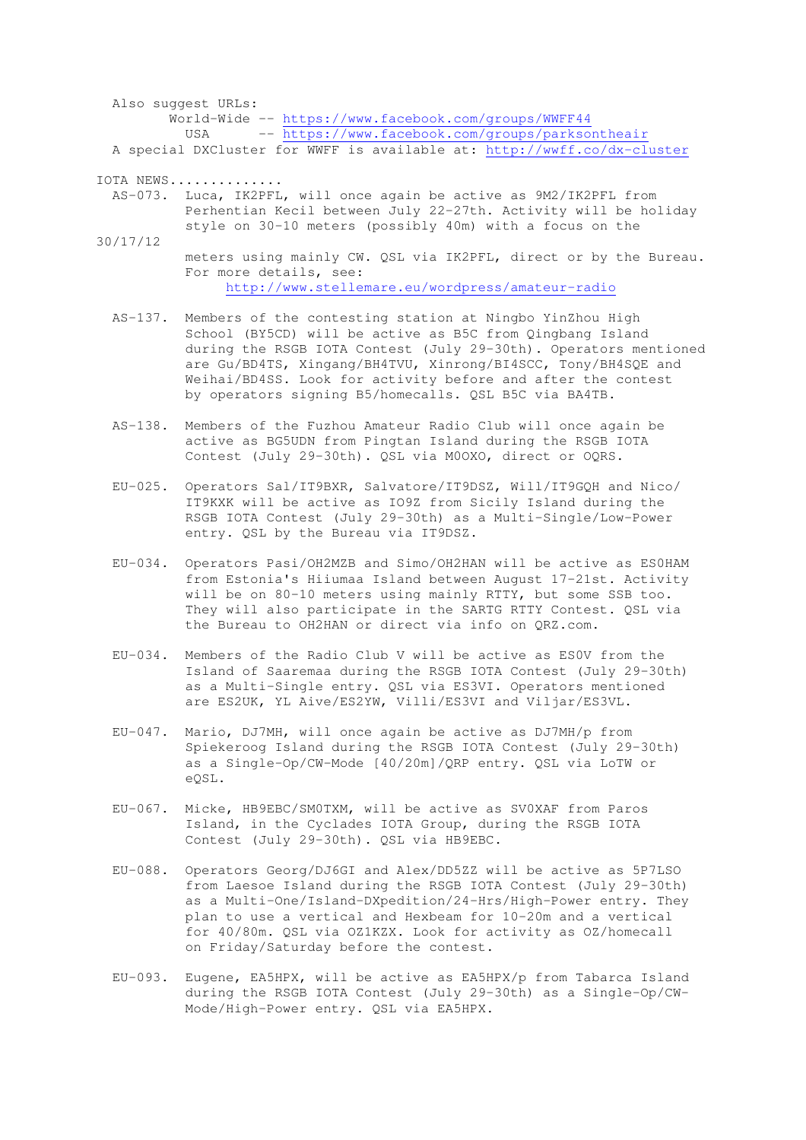Also suggest URLs: World-Wide -- https://www.facebook.com/groups/WWFF44 USA -- https://www.facebook.com/groups/parksontheair A special DXCluster for WWFF is available at: http://wwff.co/dx-cluster

IOTA NEWS..............

- AS-073. Luca, IK2PFL, will once again be active as 9M2/IK2PFL from Perhentian Kecil between July 22-27th. Activity will be holiday style on 30-10 meters (possibly 40m) with a focus on the
- 30/17/12 meters using mainly CW. QSL via IK2PFL, direct or by the Bureau. For more details, see: http://www.stellemare.eu/wordpress/amateur-radio
	- AS-137. Members of the contesting station at Ningbo YinZhou High School (BY5CD) will be active as B5C from Qingbang Island during the RSGB IOTA Contest (July 29-30th). Operators mentioned are Gu/BD4TS, Xingang/BH4TVU, Xinrong/BI4SCC, Tony/BH4SQE and Weihai/BD4SS. Look for activity before and after the contest by operators signing B5/homecalls. QSL B5C via BA4TB.
	- AS-138. Members of the Fuzhou Amateur Radio Club will once again be active as BG5UDN from Pingtan Island during the RSGB IOTA Contest (July 29-30th). QSL via M0OXO, direct or OQRS.
	- EU-025. Operators Sal/IT9BXR, Salvatore/IT9DSZ, Will/IT9GQH and Nico/ IT9KXK will be active as IO9Z from Sicily Island during the RSGB IOTA Contest (July 29-30th) as a Multi-Single/Low-Power entry. QSL by the Bureau via IT9DSZ.
	- EU-034. Operators Pasi/OH2MZB and Simo/OH2HAN will be active as ES0HAM from Estonia's Hiiumaa Island between August 17-21st. Activity will be on 80-10 meters using mainly RTTY, but some SSB too. They will also participate in the SARTG RTTY Contest. QSL via the Bureau to OH2HAN or direct via info on QRZ.com.
	- EU-034. Members of the Radio Club V will be active as ES0V from the Island of Saaremaa during the RSGB IOTA Contest (July 29-30th) as a Multi-Single entry. QSL via ES3VI. Operators mentioned are ES2UK, YL Aive/ES2YW, Villi/ES3VI and Viljar/ES3VL.
	- EU-047. Mario, DJ7MH, will once again be active as DJ7MH/p from Spiekeroog Island during the RSGB IOTA Contest (July 29-30th) as a Single-Op/CW-Mode [40/20m]/QRP entry. QSL via LoTW or eQSL.
	- EU-067. Micke, HB9EBC/SM0TXM, will be active as SV0XAF from Paros Island, in the Cyclades IOTA Group, during the RSGB IOTA Contest (July 29-30th). QSL via HB9EBC.
	- EU-088. Operators Georg/DJ6GI and Alex/DD5ZZ will be active as 5P7LSO from Laesoe Island during the RSGB IOTA Contest (July 29-30th) as a Multi-One/Island-DXpedition/24-Hrs/High-Power entry. They plan to use a vertical and Hexbeam for 10-20m and a vertical for 40/80m. QSL via OZ1KZX. Look for activity as OZ/homecall on Friday/Saturday before the contest.
	- EU-093. Eugene, EA5HPX, will be active as EA5HPX/p from Tabarca Island during the RSGB IOTA Contest (July 29-30th) as a Single-Op/CW- Mode/High-Power entry. QSL via EA5HPX.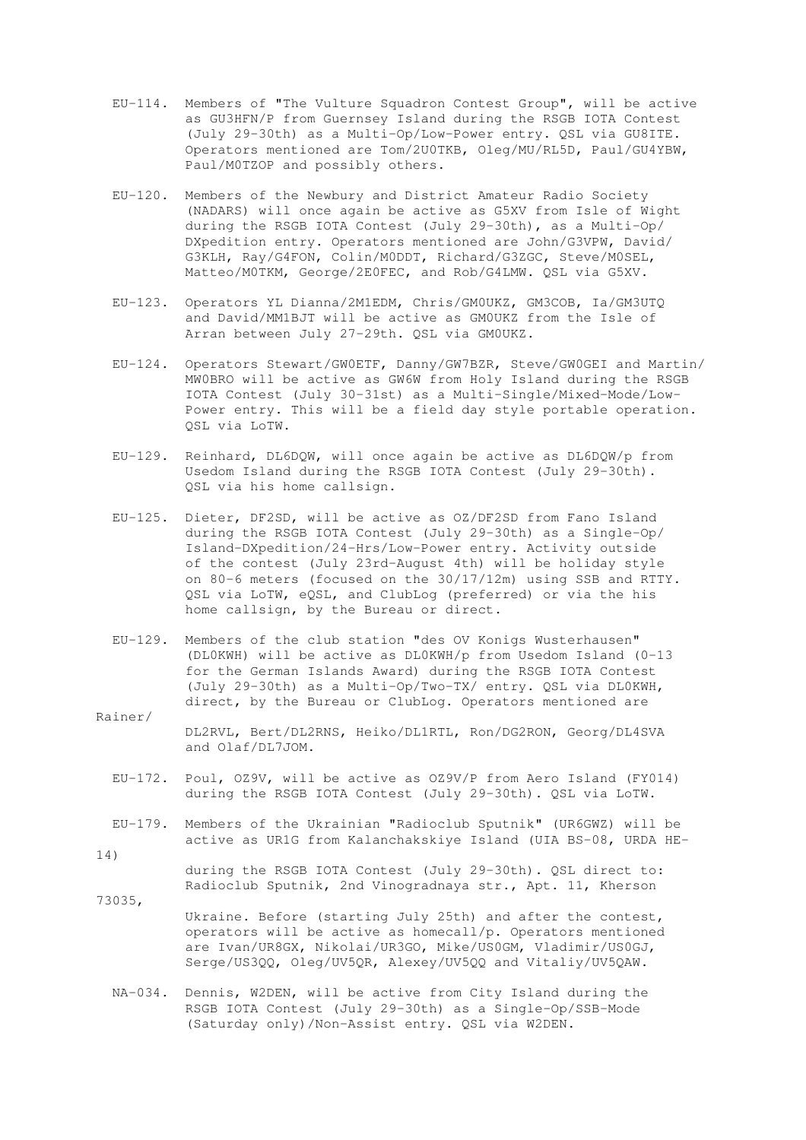- EU-114. Members of "The Vulture Squadron Contest Group", will be active as GU3HFN/P from Guernsey Island during the RSGB IOTA Contest (July 29-30th) as a Multi-Op/Low-Power entry. QSL via GU8ITE. Operators mentioned are Tom/2U0TKB, Oleg/MU/RL5D, Paul/GU4YBW, Paul/M0TZOP and possibly others.
- EU-120. Members of the Newbury and District Amateur Radio Society (NADARS) will once again be active as G5XV from Isle of Wight during the RSGB IOTA Contest (July 29-30th), as a Multi-Op/ DXpedition entry. Operators mentioned are John/G3VPW, David/ G3KLH, Ray/G4FON, Colin/M0DDT, Richard/G3ZGC, Steve/M0SEL, Matteo/M0TKM, George/2E0FEC, and Rob/G4LMW. QSL via G5XV.
- EU-123. Operators YL Dianna/2M1EDM, Chris/GM0UKZ, GM3COB, Ia/GM3UTQ and David/MM1BJT will be active as GM0UKZ from the Isle of Arran between July 27-29th. QSL via GM0UKZ.
- EU-124. Operators Stewart/GW0ETF, Danny/GW7BZR, Steve/GW0GEI and Martin/ MW0BRO will be active as GW6W from Holy Island during the RSGB IOTA Contest (July 30-31st) as a Multi-Single/Mixed-Mode/Low- Power entry. This will be a field day style portable operation. QSL via LoTW.
- EU-129. Reinhard, DL6DQW, will once again be active as DL6DQW/p from Usedom Island during the RSGB IOTA Contest (July 29-30th). QSL via his home callsign.
- EU-125. Dieter, DF2SD, will be active as OZ/DF2SD from Fano Island during the RSGB IOTA Contest (July 29-30th) as a Single-Op/ Island-DXpedition/24-Hrs/Low-Power entry. Activity outside of the contest (July 23rd-August 4th) will be holiday style on 80-6 meters (focused on the 30/17/12m) using SSB and RTTY. QSL via LoTW, eQSL, and ClubLog (preferred) or via the his home callsign, by the Bureau or direct.
- EU-129. Members of the club station "des OV Konigs Wusterhausen" (DL0KWH) will be active as DL0KWH/p from Usedom Island (0-13 for the German Islands Award) during the RSGB IOTA Contest (July 29-30th) as a Multi-Op/Two-TX/ entry. QSL via DL0KWH, direct, by the Bureau or ClubLog. Operators mentioned are
- Rainer/ DL2RVL, Bert/DL2RNS, Heiko/DL1RTL, Ron/DG2RON, Georg/DL4SVA and Olaf/DL7JOM.
	- EU-172. Poul, OZ9V, will be active as OZ9V/P from Aero Island (FY014) during the RSGB IOTA Contest (July 29-30th). QSL via LoTW.
- EU-179. Members of the Ukrainian "Radioclub Sputnik" (UR6GWZ) will be active as UR1G from Kalanchakskiye Island (UIA BS-08, URDA HE-

during the RSGB IOTA Contest (July 29-30th). OSL direct to: Radioclub Sputnik, 2nd Vinogradnaya str., Apt. 11, Kherson

14)

- 73035, Ukraine. Before (starting July 25th) and after the contest, operators will be active as homecall/p. Operators mentioned are Ivan/UR8GX, Nikolai/UR3GO, Mike/US0GM, Vladimir/US0GJ, Serge/US3QQ, Oleg/UV5QR, Alexey/UV5QQ and Vitaliy/UV5QAW.
	- NA-034. Dennis, W2DEN, will be active from City Island during the RSGB IOTA Contest (July 29-30th) as a Single-Op/SSB-Mode (Saturday only)/Non-Assist entry. QSL via W2DEN.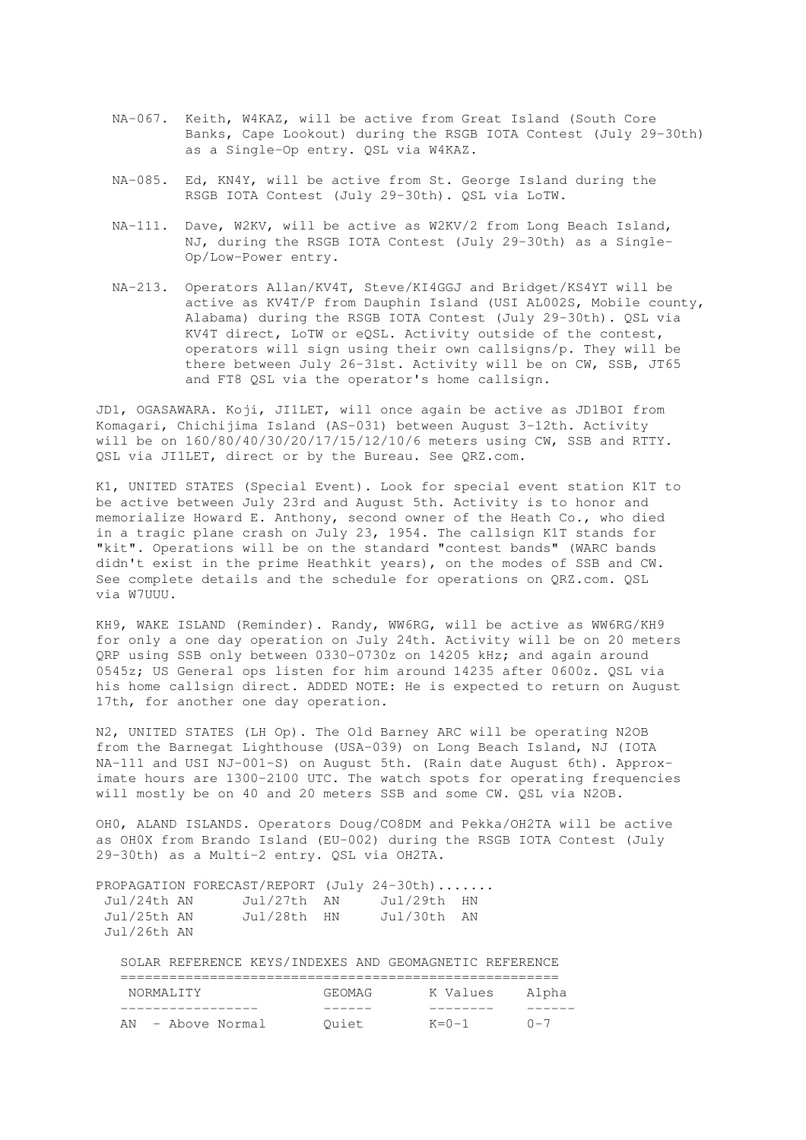- NA-067. Keith, W4KAZ, will be active from Great Island (South Core Banks, Cape Lookout) during the RSGB IOTA Contest (July 29-30th) as a Single-Op entry. QSL via W4KAZ.
- NA-085. Ed, KN4Y, will be active from St. George Island during the RSGB IOTA Contest (July 29-30th). QSL via LoTW.
- NA-111. Dave, W2KV, will be active as W2KV/2 from Long Beach Island, NJ, during the RSGB IOTA Contest (July 29-30th) as a Single- Op/Low-Power entry.
- NA-213. Operators Allan/KV4T, Steve/KI4GGJ and Bridget/KS4YT will be active as KV4T/P from Dauphin Island (USI AL002S, Mobile county, Alabama) during the RSGB IOTA Contest (July 29-30th). QSL via KV4T direct, LoTW or eQSL. Activity outside of the contest, operators will sign using their own callsigns/p. They will be there between July 26-31st. Activity will be on CW, SSB, JT65 and FT8 QSL via the operator's home callsign.

JD1, OGASAWARA. Koji, JI1LET, will once again be active as JD1BOI from Komagari, Chichijima Island (AS-031) between August 3-12th. Activity will be on 160/80/40/30/20/17/15/12/10/6 meters using CW, SSB and RTTY. QSL via JI1LET, direct or by the Bureau. See QRZ.com.

K1, UNITED STATES (Special Event). Look for special event station K1T to be active between July 23rd and August 5th. Activity is to honor and memorialize Howard E. Anthony, second owner of the Heath Co., who died in a tragic plane crash on July 23, 1954. The callsign K1T stands for "kit". Operations will be on the standard "contest bands" (WARC bands didn't exist in the prime Heathkit years), on the modes of SSB and CW. See complete details and the schedule for operations on QRZ.com. QSL via W7UUU.

KH9, WAKE ISLAND (Reminder). Randy, WW6RG, will be active as WW6RG/KH9 for only a one day operation on July 24th. Activity will be on 20 meters QRP using SSB only between 0330-0730z on 14205 kHz; and again around 0545z; US General ops listen for him around 14235 after 0600z. QSL via his home callsign direct. ADDED NOTE: He is expected to return on August 17th, for another one day operation.

N2, UNITED STATES (LH Op). The Old Barney ARC will be operating N2OB from the Barnegat Lighthouse (USA-039) on Long Beach Island, NJ (IOTA NA-111 and USI NJ-001-S) on August 5th. (Rain date August 6th). Approximate hours are 1300-2100 UTC. The watch spots for operating frequencies will mostly be on 40 and 20 meters SSB and some CW. QSL via N2OB.

OH0, ALAND ISLANDS. Operators Doug/CO8DM and Pekka/OH2TA will be active as OH0X from Brando Island (EU-002) during the RSGB IOTA Contest (July 29-30th) as a Multi-2 entry. QSL via OH2TA.

| PROPAGATION FORECAST/REPORT (July 24-30th) |             |             |  |
|--------------------------------------------|-------------|-------------|--|
| Jul/24th AN                                | Jul/27th AN | Jul/29th HN |  |
| Jul/25th AN                                | Jul/28th HN | Jul/30th AN |  |
| Jul/26th AN                                |             |             |  |

SOLAR REFERENCE KEYS/INDEXES AND GEOMAGNETIC REFERENCE

| NORMALITY         | GEOMAG | K Values         | Alpha   |
|-------------------|--------|------------------|---------|
|                   |        |                  |         |
| AN - Above Normal | Ouiet  | $K = \Omega - 1$ | $0 - 7$ |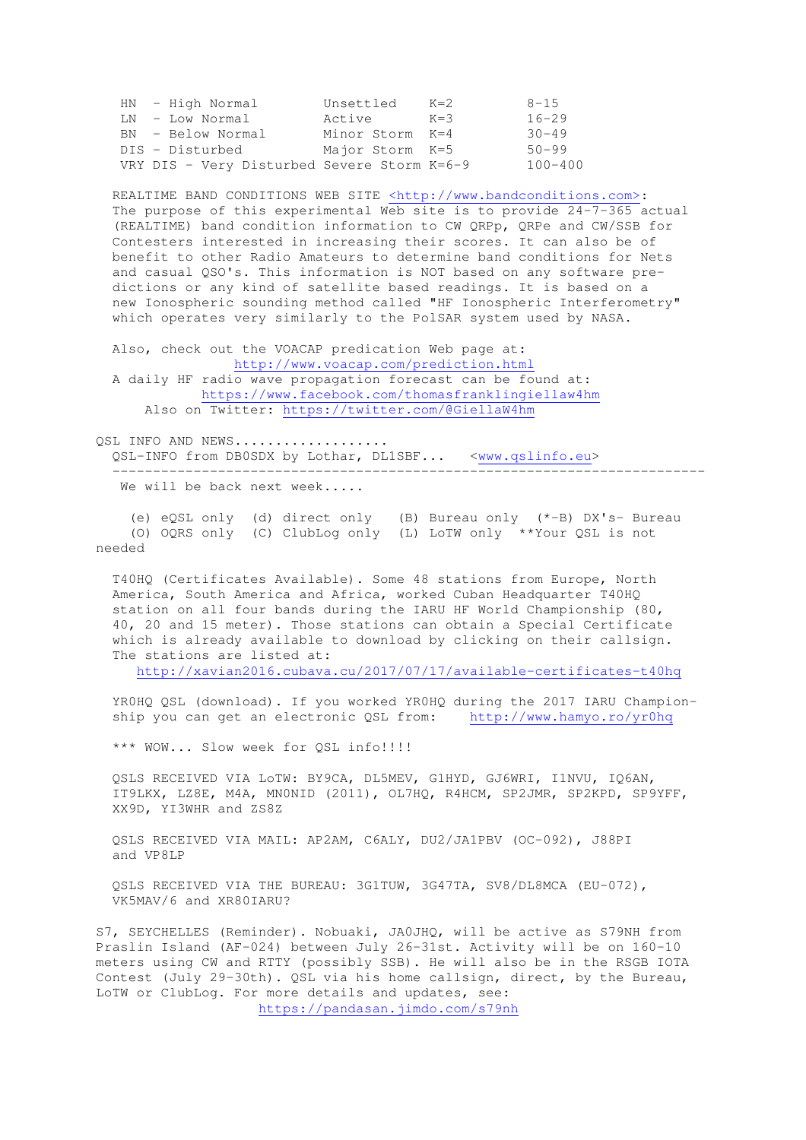|  | HN - High Normal                            | Unsettled       | $K=2$   | $8 - 1.5$   |
|--|---------------------------------------------|-----------------|---------|-------------|
|  | LN - Low Normal                             | Active          | $K = 3$ | $16 - 29$   |
|  | BN - Below Normal                           | Minor Storm K=4 |         | $30 - 49$   |
|  | DIS - Disturbed                             | Major Storm K=5 |         | $50 - 99$   |
|  | VRY DIS - Very Disturbed Severe Storm K=6-9 |                 |         | $100 - 400$ |

REALTIME BAND CONDITIONS WEB SITE <http://www.bandconditions.com>: The purpose of this experimental Web site is to provide 24-7-365 actual (REALTIME) band condition information to CW QRPp, QRPe and CW/SSB for Contesters interested in increasing their scores. It can also be of benefit to other Radio Amateurs to determine band conditions for Nets and casual QSO's. This information is NOT based on any software pre dictions or any kind of satellite based readings. It is based on a new Ionospheric sounding method called "HF Ionospheric Interferometry" which operates very similarly to the PolSAR system used by NASA.

 Also, check out the VOACAP predication Web page at: http://www.voacap.com/prediction.html

 A daily HF radio wave propagation forecast can be found at: https://www.facebook.com/thomasfranklingiellaw4hm Also on Twitter: https://twitter.com/@GiellaW4hm

OSL INFO AND NEWS.................. QSL-INFO from DB0SDX by Lothar, DL1SBF... <www.qslinfo.eu> -------------------------------------------------------------------------

We will be back next week.....

 (e) eQSL only (d) direct only (B) Bureau only (\*-B) DX's- Bureau (O) OQRS only (C) ClubLog only (L) LoTW only \*\*Your QSL is not needed

 T40HQ (Certificates Available). Some 48 stations from Europe, North America, South America and Africa, worked Cuban Headquarter T40HQ station on all four bands during the IARU HF World Championship (80, 40, 20 and 15 meter). Those stations can obtain a Special Certificate which is already available to download by clicking on their callsign. The stations are listed at:

http://xavian2016.cubava.cu/2017/07/17/available-certificates-t40hq

 YR0HQ QSL (download). If you worked YR0HQ during the 2017 IARU Champion ship you can get an electronic QSL from: http://www.hamyo.ro/yr0hq

\*\*\* WOW... Slow week for QSL info!!!!

 QSLS RECEIVED VIA LoTW: BY9CA, DL5MEV, G1HYD, GJ6WRI, I1NVU, IQ6AN, IT9LKX, LZ8E, M4A, MN0NID (2011), OL7HQ, R4HCM, SP2JMR, SP2KPD, SP9YFF, XX9D, YI3WHR and ZS8Z

 QSLS RECEIVED VIA MAIL: AP2AM, C6ALY, DU2/JA1PBV (OC-092), J88PI and VP8LP

 QSLS RECEIVED VIA THE BUREAU: 3G1TUW, 3G47TA, SV8/DL8MCA (EU-072), VK5MAV/6 and XR80IARU?

S7, SEYCHELLES (Reminder). Nobuaki, JA0JHQ, will be active as S79NH from Praslin Island (AF-024) between July 26-31st. Activity will be on 160-10 meters using CW and RTTY (possibly SSB). He will also be in the RSGB IOTA Contest (July 29-30th). QSL via his home callsign, direct, by the Bureau, LoTW or ClubLog. For more details and updates, see: https://pandasan.jimdo.com/s79nh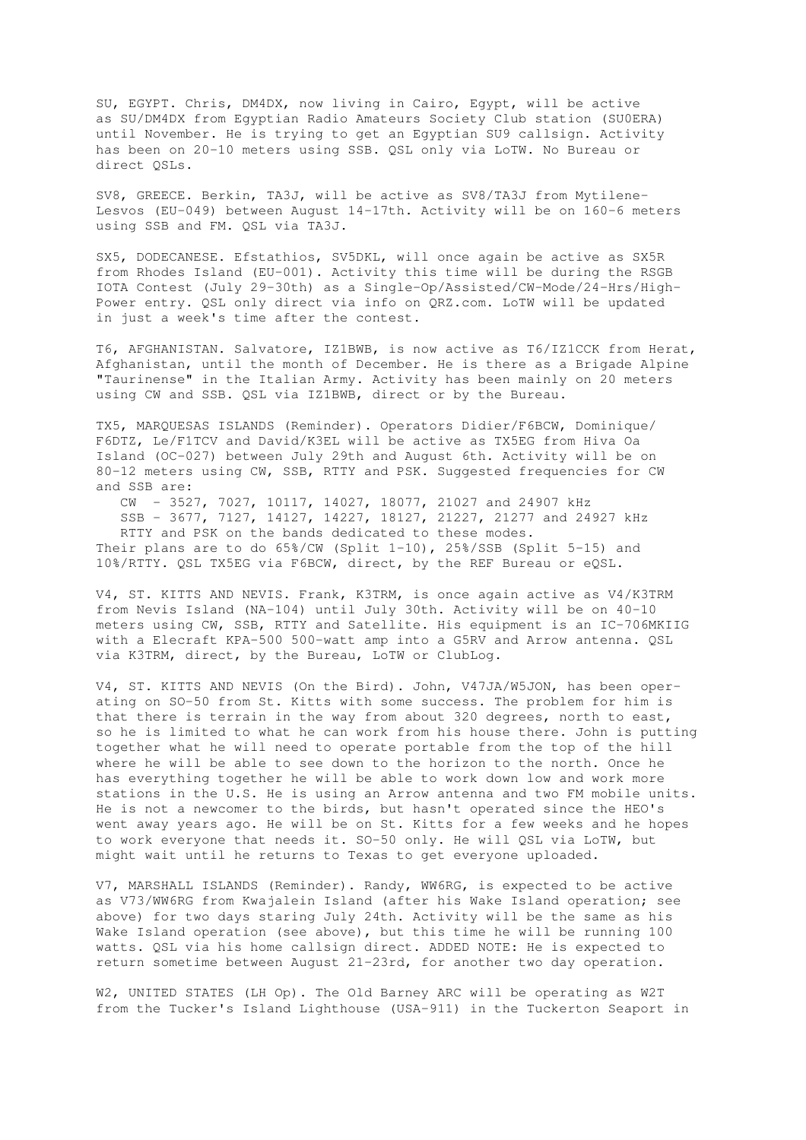SU, EGYPT. Chris, DM4DX, now living in Cairo, Egypt, will be active as SU/DM4DX from Egyptian Radio Amateurs Society Club station (SU0ERA) until November. He is trying to get an Egyptian SU9 callsign. Activity has been on 20-10 meters using SSB. QSL only via LoTW. No Bureau or direct OSLs.

SV8, GREECE. Berkin, TA3J, will be active as SV8/TA3J from Mytilene-Lesvos (EU-049) between August 14-17th. Activity will be on 160-6 meters using SSB and FM. QSL via TA3J.

SX5, DODECANESE. Efstathios, SV5DKL, will once again be active as SX5R from Rhodes Island (EU-001). Activity this time will be during the RSGB IOTA Contest (July 29-30th) as a Single-Op/Assisted/CW-Mode/24-Hrs/High-Power entry. QSL only direct via info on QRZ.com. LoTW will be updated in just a week's time after the contest.

T6, AFGHANISTAN. Salvatore, IZ1BWB, is now active as T6/IZ1CCK from Herat, Afghanistan, until the month of December. He is there as a Brigade Alpine "Taurinense" in the Italian Army. Activity has been mainly on 20 meters using CW and SSB. QSL via IZ1BWB, direct or by the Bureau.

TX5, MARQUESAS ISLANDS (Reminder). Operators Didier/F6BCW, Dominique/ F6DTZ, Le/F1TCV and David/K3EL will be active as TX5EG from Hiva Oa Island (OC-027) between July 29th and August 6th. Activity will be on 80-12 meters using CW, SSB, RTTY and PSK. Suggested frequencies for CW and SSB are:

 CW - 3527, 7027, 10117, 14027, 18077, 21027 and 24907 kHz SSB - 3677, 7127, 14127, 14227, 18127, 21227, 21277 and 24927 kHz RTTY and PSK on the bands dedicated to these modes. Their plans are to do  $65\frac{8}{\text{CN}}$  (Split 1-10), 25%/SSB (Split 5-15) and 10%/RTTY. QSL TX5EG via F6BCW, direct, by the REF Bureau or eQSL.

V4, ST. KITTS AND NEVIS. Frank, K3TRM, is once again active as V4/K3TRM from Nevis Island (NA-104) until July 30th. Activity will be on 40-10 meters using CW, SSB, RTTY and Satellite. His equipment is an IC-706MKIIG with a Elecraft KPA-500 500-watt amp into a G5RV and Arrow antenna. QSL via K3TRM, direct, by the Bureau, LoTW or ClubLog.

V4, ST. KITTS AND NEVIS (On the Bird). John, V47JA/W5JON, has been operating on SO-50 from St. Kitts with some success. The problem for him is that there is terrain in the way from about 320 degrees, north to east, so he is limited to what he can work from his house there. John is putting together what he will need to operate portable from the top of the hill where he will be able to see down to the horizon to the north. Once he has everything together he will be able to work down low and work more stations in the U.S. He is using an Arrow antenna and two FM mobile units. He is not a newcomer to the birds, but hasn't operated since the HEO's went away years ago. He will be on St. Kitts for a few weeks and he hopes to work everyone that needs it. SO-50 only. He will QSL via LoTW, but might wait until he returns to Texas to get everyone uploaded.

V7, MARSHALL ISLANDS (Reminder). Randy, WW6RG, is expected to be active as V73/WW6RG from Kwajalein Island (after his Wake Island operation; see above) for two days staring July 24th. Activity will be the same as his Wake Island operation (see above), but this time he will be running 100 watts. QSL via his home callsign direct. ADDED NOTE: He is expected to return sometime between August 21-23rd, for another two day operation.

W2, UNITED STATES (LH Op). The Old Barney ARC will be operating as W2T from the Tucker's Island Lighthouse (USA-911) in the Tuckerton Seaport in